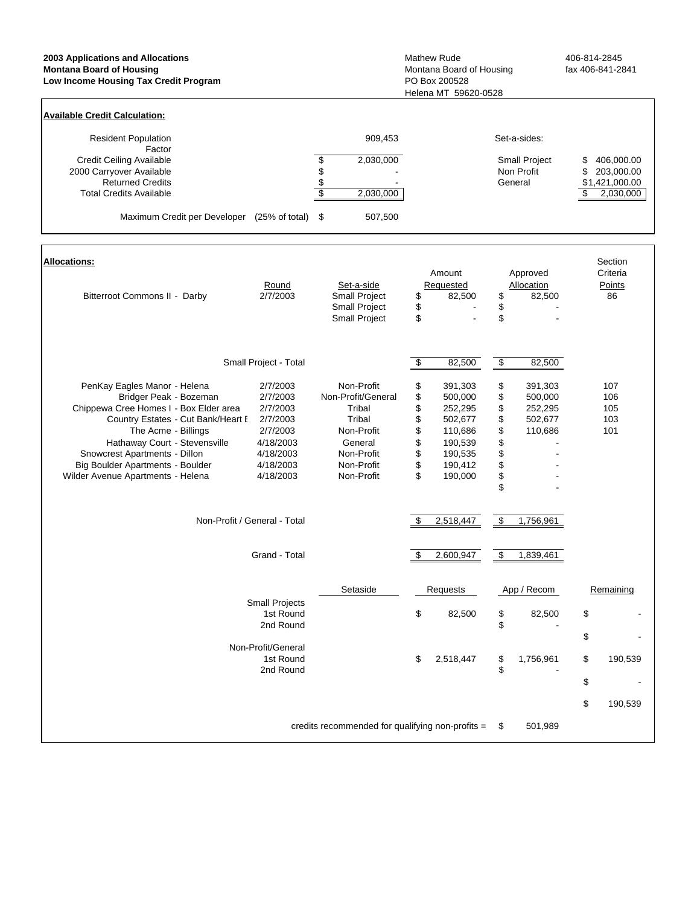| 2003 Applications and Allocations<br><b>Montana Board of Housing</b><br>Low Income Housing Tax Credit Program                                                                                                                                                                                            | Mathew Rude<br>Montana Board of Housing<br>PO Box 200528<br>Helena MT 59620-0528                             | 406-814-2845<br>fax 406-841-2841                                                                                        |                                                                                                                                                       |                                                                                                           |                                                                           |
|----------------------------------------------------------------------------------------------------------------------------------------------------------------------------------------------------------------------------------------------------------------------------------------------------------|--------------------------------------------------------------------------------------------------------------|-------------------------------------------------------------------------------------------------------------------------|-------------------------------------------------------------------------------------------------------------------------------------------------------|-----------------------------------------------------------------------------------------------------------|---------------------------------------------------------------------------|
| <b>Available Credit Calculation:</b>                                                                                                                                                                                                                                                                     |                                                                                                              |                                                                                                                         |                                                                                                                                                       |                                                                                                           |                                                                           |
| <b>Resident Population</b><br>Factor<br><b>Credit Ceiling Available</b><br>2000 Carryover Available<br><b>Returned Credits</b><br><b>Total Credits Available</b><br>Maximum Credit per Developer (25% of total) \$                                                                                       |                                                                                                              | 909,453<br>$\frac{1}{2}$<br>2,030,000<br>\$<br>$\frac{6}{3}$<br>2,030,000<br>507,500                                    |                                                                                                                                                       | Set-a-sides:<br>Small Project<br>Non Profit<br>General                                                    | 406,000.00<br>\$<br>\$<br>203,000.00<br>\$1,421,000.00<br>\$<br>2,030,000 |
| <b>Allocations:</b>                                                                                                                                                                                                                                                                                      |                                                                                                              |                                                                                                                         | Amount                                                                                                                                                | Approved                                                                                                  | Section<br>Criteria                                                       |
| Bitterroot Commons II - Darby                                                                                                                                                                                                                                                                            | Round<br>2/7/2003                                                                                            | Set-a-side<br>Small Project<br><b>Small Project</b><br>Small Project                                                    | Requested<br>\$<br>82,500<br>\$<br>\$<br>$\sim$                                                                                                       | Allocation<br>\$<br>82,500<br>\$<br>\$                                                                    | Points<br>86                                                              |
|                                                                                                                                                                                                                                                                                                          | Small Project - Total                                                                                        |                                                                                                                         | \$<br>82,500                                                                                                                                          | $\bullet$<br>82,500                                                                                       |                                                                           |
| PenKay Eagles Manor - Helena<br>Bridger Peak - Bozeman<br>Chippewa Cree Homes I - Box Elder area<br>Country Estates - Cut Bank/Heart E<br>The Acme - Billings<br>Hathaway Court - Stevensville<br>Snowcrest Apartments - Dillon<br>Big Boulder Apartments - Boulder<br>Wilder Avenue Apartments - Helena | 2/7/2003<br>2/7/2003<br>2/7/2003<br>2/7/2003<br>2/7/2003<br>4/18/2003<br>4/18/2003<br>4/18/2003<br>4/18/2003 | Non-Profit<br>Non-Profit/General<br>Tribal<br>Tribal<br>Non-Profit<br>General<br>Non-Profit<br>Non-Profit<br>Non-Profit | \$<br>391,303<br>\$<br>500,000<br>\$<br>252,295<br>\$<br>502,677<br>\$<br>110,686<br>\$<br>190,539<br>\$<br>190,535<br>\$<br>190,412<br>\$<br>190,000 | \$<br>391,303<br>\$<br>500,000<br>\$<br>252,295<br>\$<br>502,677<br>\$<br>110,686<br>\$<br>\$<br>\$<br>\$ | 107<br>106<br>105<br>103<br>101                                           |
| Non-Profit / General - Total                                                                                                                                                                                                                                                                             |                                                                                                              |                                                                                                                         | 2,518,447<br>\$                                                                                                                                       | \$<br>1,756,961                                                                                           |                                                                           |
|                                                                                                                                                                                                                                                                                                          | Grand - Total                                                                                                |                                                                                                                         | \$<br>2,600,947                                                                                                                                       | \$<br>1,839,461                                                                                           |                                                                           |
|                                                                                                                                                                                                                                                                                                          | <b>Small Projects</b><br>1st Round                                                                           | Setaside                                                                                                                | Requests<br>\$<br>82,500                                                                                                                              | App / Recom<br>\$<br>82,500                                                                               | Remaining<br>\$                                                           |
|                                                                                                                                                                                                                                                                                                          | 2nd Round<br>Non-Profit/General<br>1st Round<br>2nd Round                                                    |                                                                                                                         | \$<br>2,518,447                                                                                                                                       | \$<br>\$<br>1,756,961<br>\$                                                                               | \$<br>\$<br>190,539<br>\$                                                 |
|                                                                                                                                                                                                                                                                                                          |                                                                                                              | credits recommended for qualifying non-profits =                                                                        |                                                                                                                                                       | 501,989<br>\$                                                                                             | \$<br>190,539                                                             |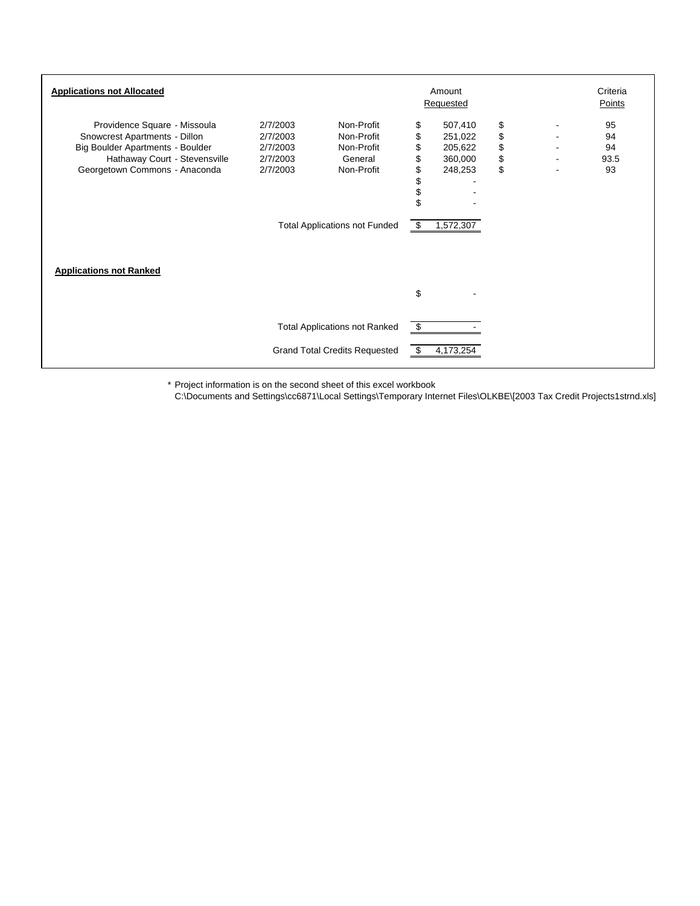| <b>Applications not Allocated</b>                                                                                                                                   |                                                          | Amount<br>Requested                                                                                     | Criteria<br>Points                                 |                                                                  |                            |  |                              |
|---------------------------------------------------------------------------------------------------------------------------------------------------------------------|----------------------------------------------------------|---------------------------------------------------------------------------------------------------------|----------------------------------------------------|------------------------------------------------------------------|----------------------------|--|------------------------------|
| Providence Square - Missoula<br>Snowcrest Apartments - Dillon<br>Big Boulder Apartments - Boulder<br>Hathaway Court - Stevensville<br>Georgetown Commons - Anaconda | 2/7/2003<br>2/7/2003<br>2/7/2003<br>2/7/2003<br>2/7/2003 | Non-Profit<br>Non-Profit<br>Non-Profit<br>General<br>Non-Profit<br><b>Total Applications not Funded</b> | \$<br>\$<br>\$<br>\$<br>\$<br>\$<br>\$<br>\$<br>\$ | 507,410<br>251,022<br>205,622<br>360,000<br>248,253<br>1,572,307 | \$<br>\$<br>\$<br>\$<br>\$ |  | 95<br>94<br>94<br>93.5<br>93 |
| <b>Applications not Ranked</b>                                                                                                                                      |                                                          |                                                                                                         | \$                                                 |                                                                  |                            |  |                              |
|                                                                                                                                                                     |                                                          | <b>Total Applications not Ranked</b><br><b>Grand Total Credits Requested</b>                            | \$<br>\$                                           | 4,173,254                                                        |                            |  |                              |

\* Project information is on the second sheet of this excel workbook

C:\Documents and Settings\cc6871\Local Settings\Temporary Internet Files\OLKBE\[2003 Tax Credit Projects1strnd.xls]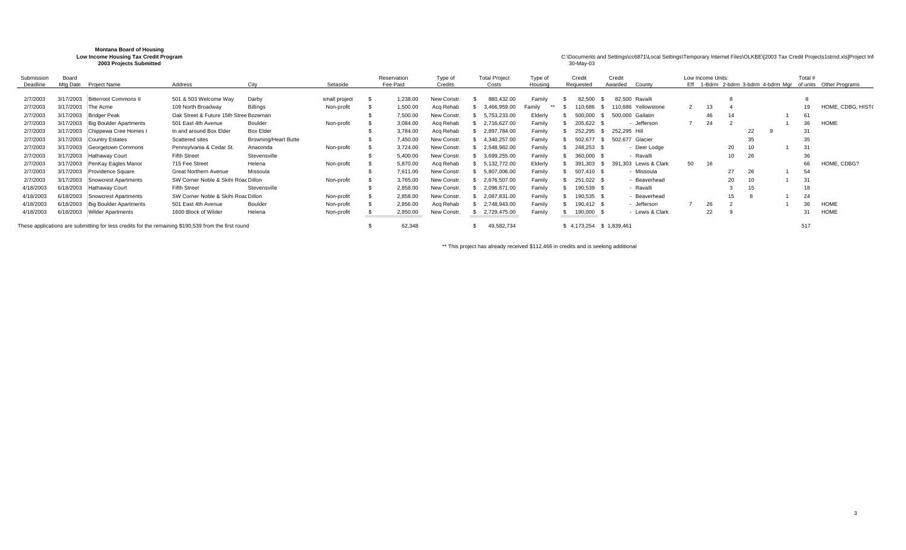| <b>Montana Board of Housing</b><br>Low Income Housing Tax Credit Program<br>2003 Projects Submitted |           |                               |                                                                                                     |                             |               |  |             |                   |                      |         | 30-May-03   | C:\Documents and Settings\cc6871\Local Settings\Temporary Internet Files\OLKBE\[2003 Tax Credit Projects1strnd.xls]Project Infi |    |                   |    |    |                |                                                             |
|-----------------------------------------------------------------------------------------------------|-----------|-------------------------------|-----------------------------------------------------------------------------------------------------|-----------------------------|---------------|--|-------------|-------------------|----------------------|---------|-------------|---------------------------------------------------------------------------------------------------------------------------------|----|-------------------|----|----|----------------|-------------------------------------------------------------|
| Submission                                                                                          | Board     |                               |                                                                                                     |                             |               |  | Reservation | Type of           | <b>Total Project</b> | Type of | Credit      | Credit                                                                                                                          |    | Low Income Units: |    |    | Total #        |                                                             |
| Deadline                                                                                            | Mtg Date  | Project Name                  | Address                                                                                             | City                        | Setaside      |  | Fee Paid    | Credits           | Costs                | Housing | Requested   | Awarded<br>County                                                                                                               |    |                   |    |    |                | Eff 1-Bdrm 2-bdrm 3-bdrm 4-bdrm Mgr of units Other Programs |
| 2/7/2003                                                                                            | 3/17/2003 | Bitterroot Commons II         | 501 & 503 Welcome Way                                                                               | Darby                       | small project |  | 1.238.00    | New Constr.       | 880,432.00           | Family  | 82,500      | 82.500<br>Ravalli                                                                                                               |    |                   |    |    |                |                                                             |
| 2/7/2003                                                                                            | 3/17/2003 | The Acme                      | 109 North Broadway                                                                                  | <b>Billings</b>             | Non-profit    |  | 1,500.00    | Acq Rehab         | 3,466,959.00         | Familv  | 110,686     | 110.686<br>Yellowstone                                                                                                          |    | 13                |    |    |                | HOME, CDBG, HIST(                                           |
| 2/7/2003                                                                                            | 3/17/2003 | Bridger Peak                  | Oak Street & Future 15th Stree Bozeman                                                              |                             |               |  | 7,500.00    | New Constr        | 5,753,233.00         | Elderly | 500,000     | 500,000<br>Gallatin                                                                                                             |    | 46                |    |    | 6              |                                                             |
| 2/7/2003                                                                                            | 3/17/2003 | <b>Big Boulder Apartments</b> | 501 East 4th Avenue                                                                                 | Boulder                     | Non-profit    |  | 3,084.00    | Acq Rehab         | 2,716,627.00         | Family  | 205,622     | Jefferson                                                                                                                       |    | 24                |    |    | 36             | <b>HOME</b>                                                 |
| 2/7/2003                                                                                            | 3/17/2003 | Chippewa Cree Homes I         | In and around Box Elder                                                                             | <b>Box Elder</b>            |               |  | 3.784.00    | Acq Rehab         | 2,897,784.00         | Family  | 252,295     | 252,295 Hill                                                                                                                    |    |                   |    | 22 | 3              |                                                             |
| 2/7/2003                                                                                            | 3/17/2003 | Country Estates               | Scattered sites                                                                                     | <b>Browning/Heart Butte</b> |               |  | 7,450.00    | New Constr        | 4,340,257.00         | Family  | 502,677     | Glacier<br>502,677                                                                                                              |    |                   |    | 35 | 35             |                                                             |
| 2/7/2003                                                                                            | 3/17/2003 | Georgetown Commons            | Pennsylvania & Cedar St.                                                                            | Anaconda                    | Non-profit    |  | 3.724.00    | New Constr        | 2,548,982.00         | Family  | 248,253     | - Deer Lodge                                                                                                                    |    |                   | 20 | 10 | 3 <sup>1</sup> |                                                             |
| 2/7/2003                                                                                            | 3/17/2003 | Hathaway Court                | <b>Fifth Street</b>                                                                                 | Stevensville                |               |  | 5.400.00    | New Constr.       | 3,699,255.00         | Family  | 360,000     | · Ravalli                                                                                                                       |    |                   | 10 | 26 | 36             |                                                             |
| 2/7/2003                                                                                            | 3/17/2003 | PenKay Eagles Manor           | 715 Fee Street                                                                                      | Helena                      | Non-profit    |  | 5,870.00    | Acq Rehab         | 5,132,772.00         | Elderly | 391,303     | Lewis & Clark<br>391.303                                                                                                        | 50 | 16                |    |    | 66             | HOME, CDBG?                                                 |
| 2/7/2003                                                                                            | 3/17/2003 | Providence Square             | <b>Great Northern Avenue</b>                                                                        | Missoula                    |               |  | 7.611.00    | New Constr        | 5,807,006.00         | Family  | 507,410 \$  | Missoula                                                                                                                        |    |                   | 27 | 26 | 54             |                                                             |
| 2/7/2003                                                                                            | 3/17/2003 | <b>Snowcrest Apartments</b>   | SW Corner Noble & Skihi Roac Dillon                                                                 |                             | Non-profit    |  | 3.765.00    | <b>New Constr</b> | 2,676,507.00         | Family  | 251,022 \$  | Beaverhead                                                                                                                      |    |                   | 20 | 10 | $3^{\circ}$    |                                                             |
| 4/18/2003                                                                                           | 6/18/2003 | Hathawav Court                | <b>Fifth Street</b>                                                                                 | Stevensville                |               |  | 2,858.00    | New Constr        | 2,096,671.00         | Family  | 190,539     | - Ravalli                                                                                                                       |    |                   |    | 15 |                |                                                             |
| 4/18/2003                                                                                           | 6/18/2003 | <b>Snowcrest Apartments</b>   | SW Corner Noble & Skihi Roac Dillon                                                                 |                             | Non-profit    |  | 2,858.00    | <b>New Constr</b> | 2,087,831.00         | Family  | 190,535 \$  | Beaverhead                                                                                                                      |    |                   | 15 |    | 24             |                                                             |
| 4/18/2003                                                                                           | 6/18/2003 | <b>Big Boulder Apartments</b> | 501 East 4th Avenue                                                                                 | Boulder                     | Non-profit    |  | 2,856.00    | Acq Rehab         | 2,748,943.00         | Family  | 190,412 \$  | - Jefferson                                                                                                                     |    | 26                |    |    | 36             | <b>HOME</b>                                                 |
| 4/18/2003                                                                                           | 6/18/2003 | <b>Wilder Apartments</b>      | 1600 Block of Wilder                                                                                | Helena                      | Non-profit    |  | 2,850.00    | New Constr.       | 2,729,475.00         | Family  | 190,000     | - Lewis & Clark                                                                                                                 |    | 22                |    |    | 31             | <b>HOME</b>                                                 |
|                                                                                                     |           |                               | These applications are submitting for less credits for the remaining \$190,539 from the first round |                             |               |  | 62,348      |                   | 49,582,734           |         | \$4,173,254 | \$1,839,461                                                                                                                     |    |                   |    |    | 517            |                                                             |

\*\* This project has already received \$112,466 in credits and is seeking additional